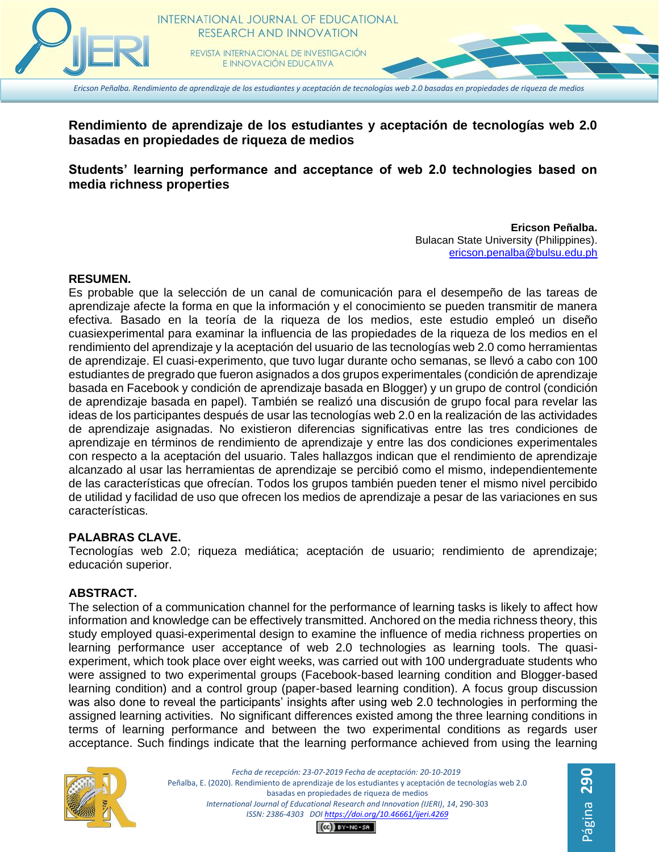

*Ericson Peñalba. Rendimiento de aprendizaje de los estudiantes y aceptación de tecnologías web 2.0 basadas en propiedades de riqueza de medios*

# **Rendimiento de aprendizaje de los estudiantes y aceptación de tecnologías web 2.0 basadas en propiedades de riqueza de medios**

# **Students' learning performance and acceptance of web 2.0 technologies based on media richness properties**

#### **Ericson Peñalba.** Bulacan State University (Philippines). [ericson.penalba@bulsu.edu.ph](mailto:ericson.penalba@bulsu.edu.ph)

#### **RESUMEN.**

Es probable que la selección de un canal de comunicación para el desempeño de las tareas de aprendizaje afecte la forma en que la información y el conocimiento se pueden transmitir de manera efectiva. Basado en la teoría de la riqueza de los medios, este estudio empleó un diseño cuasiexperimental para examinar la influencia de las propiedades de la riqueza de los medios en el rendimiento del aprendizaje y la aceptación del usuario de las tecnologías web 2.0 como herramientas de aprendizaje. El cuasi-experimento, que tuvo lugar durante ocho semanas, se llevó a cabo con 100 estudiantes de pregrado que fueron asignados a dos grupos experimentales (condición de aprendizaje basada en Facebook y condición de aprendizaje basada en Blogger) y un grupo de control (condición de aprendizaje basada en papel). También se realizó una discusión de grupo focal para revelar las ideas de los participantes después de usar las tecnologías web 2.0 en la realización de las actividades de aprendizaje asignadas. No existieron diferencias significativas entre las tres condiciones de aprendizaje en términos de rendimiento de aprendizaje y entre las dos condiciones experimentales con respecto a la aceptación del usuario. Tales hallazgos indican que el rendimiento de aprendizaje alcanzado al usar las herramientas de aprendizaje se percibió como el mismo, independientemente de las características que ofrecían. Todos los grupos también pueden tener el mismo nivel percibido de utilidad y facilidad de uso que ofrecen los medios de aprendizaje a pesar de las variaciones en sus características.

#### **PALABRAS CLAVE.**

Tecnologías web 2.0; riqueza mediática; aceptación de usuario; rendimiento de aprendizaje; educación superior.

#### **ABSTRACT.**

The selection of a communication channel for the performance of learning tasks is likely to affect how information and knowledge can be effectively transmitted. Anchored on the media richness theory, this study employed quasi-experimental design to examine the influence of media richness properties on learning performance user acceptance of web 2.0 technologies as learning tools. The quasiexperiment, which took place over eight weeks, was carried out with 100 undergraduate students who were assigned to two experimental groups (Facebook-based learning condition and Blogger-based learning condition) and a control group (paper-based learning condition). A focus group discussion was also done to reveal the participants' insights after using web 2.0 technologies in performing the assigned learning activities. No significant differences existed among the three learning conditions in terms of learning performance and between the two experimental conditions as regards user acceptance. Such findings indicate that the learning performance achieved from using the learning



*Fecha de recepción: 23-07-2019 Fecha de aceptación: 20-10-2019* Peñalba, E. (2020). Rendimiento de aprendizaje de los estudiantes y aceptación de tecnologías web 2.0 basadas en propiedades de riqueza de medios *International Journal of Educational Research and Innovation (IJERI)*, *14*, 290-303 *ISSN: 2386-4303 DO[I https://doi.org/10.46661/ijeri.4269](https://doi.org/10.46661/ijeri.4269)*

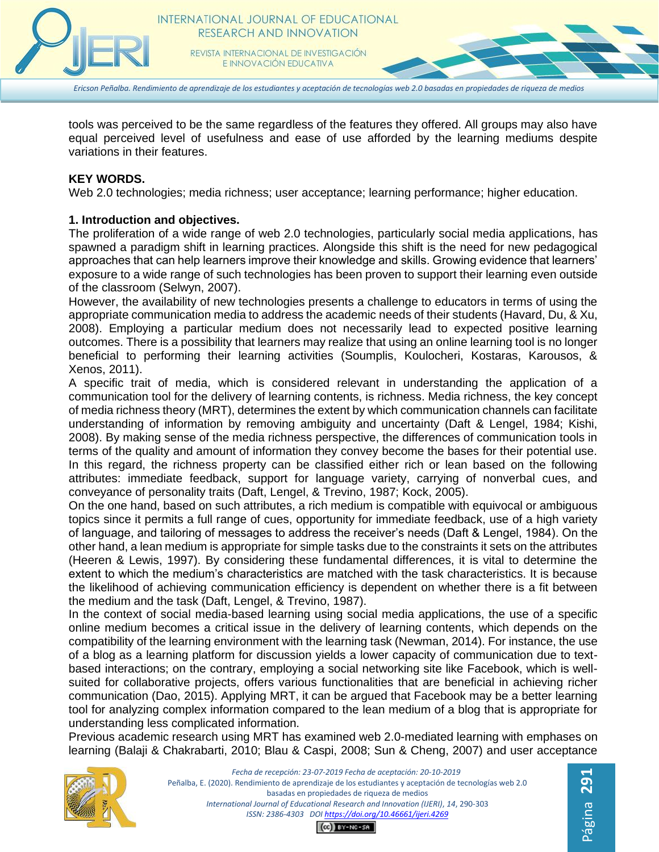

*Ericson Peñalba. Rendimiento de aprendizaje de los estudiantes y aceptación de tecnologías web 2.0 basadas en propiedades de riqueza de medios*

tools was perceived to be the same regardless of the features they offered. All groups may also have equal perceived level of usefulness and ease of use afforded by the learning mediums despite variations in their features.

#### **KEY WORDS.**

Web 2.0 technologies; media richness; user acceptance; learning performance; higher education.

#### **1. Introduction and objectives.**

The proliferation of a wide range of web 2.0 technologies, particularly social media applications, has spawned a paradigm shift in learning practices. Alongside this shift is the need for new pedagogical approaches that can help learners improve their knowledge and skills. Growing evidence that learners' exposure to a wide range of such technologies has been proven to support their learning even outside of the classroom (Selwyn, 2007).

However, the availability of new technologies presents a challenge to educators in terms of using the appropriate communication media to address the academic needs of their students (Havard, Du, & Xu, 2008). Employing a particular medium does not necessarily lead to expected positive learning outcomes. There is a possibility that learners may realize that using an online learning tool is no longer beneficial to performing their learning activities (Soumplis, Koulocheri, Kostaras, Karousos, & Xenos, 2011).

A specific trait of media, which is considered relevant in understanding the application of a communication tool for the delivery of learning contents, is richness. Media richness, the key concept of media richness theory (MRT), determines the extent by which communication channels can facilitate understanding of information by removing ambiguity and uncertainty (Daft & Lengel, 1984; Kishi, 2008). By making sense of the media richness perspective, the differences of communication tools in terms of the quality and amount of information they convey become the bases for their potential use. In this regard, the richness property can be classified either rich or lean based on the following attributes: immediate feedback, support for language variety, carrying of nonverbal cues, and conveyance of personality traits (Daft, Lengel, & Trevino, 1987; Kock, 2005).

On the one hand, based on such attributes, a rich medium is compatible with equivocal or ambiguous topics since it permits a full range of cues, opportunity for immediate feedback, use of a high variety of language, and tailoring of messages to address the receiver's needs (Daft & Lengel, 1984). On the other hand, a lean medium is appropriate for simple tasks due to the constraints it sets on the attributes (Heeren & Lewis, 1997). By considering these fundamental differences, it is vital to determine the extent to which the medium's characteristics are matched with the task characteristics. It is because the likelihood of achieving communication efficiency is dependent on whether there is a fit between the medium and the task (Daft, Lengel, & Trevino, 1987).

In the context of social media-based learning using social media applications, the use of a specific online medium becomes a critical issue in the delivery of learning contents, which depends on the compatibility of the learning environment with the learning task (Newman, 2014). For instance, the use of a blog as a learning platform for discussion yields a lower capacity of communication due to textbased interactions; on the contrary, employing a social networking site like Facebook, which is wellsuited for collaborative projects, offers various functionalities that are beneficial in achieving richer communication (Dao, 2015). Applying MRT, it can be argued that Facebook may be a better learning tool for analyzing complex information compared to the lean medium of a blog that is appropriate for understanding less complicated information.

Previous academic research using MRT has examined web 2.0-mediated learning with emphases on learning (Balaji & Chakrabarti, 2010; Blau & Caspi, 2008; Sun & Cheng, 2007) and user acceptance



*Fecha de recepción: 23-07-2019 Fecha de aceptación: 20-10-2019* Peñalba, E. (2020). Rendimiento de aprendizaje de los estudiantes y aceptación de tecnologías web 2.0 basadas en propiedades de riqueza de medios *International Journal of Educational Research and Innovation (IJERI)*, *14*, 290-303 *ISSN: 2386-4303 DO[I https://doi.org/10.46661/ijeri.4269](https://doi.org/10.46661/ijeri.4269)*  $CO$  $EY-NC-SA$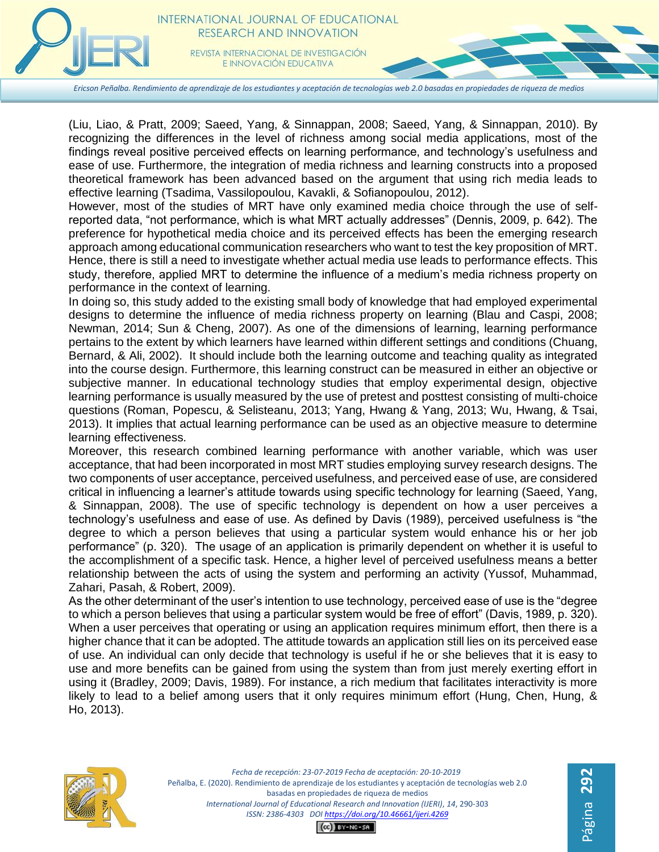

E INNOVACIÓN EDUCATIVA

*Ericson Peñalba. Rendimiento de aprendizaje de los estudiantes y aceptación de tecnologías web 2.0 basadas en propiedades de riqueza de medios*

(Liu, Liao, & Pratt, 2009; Saeed, Yang, & Sinnappan, 2008; Saeed, Yang, & Sinnappan, 2010). By recognizing the differences in the level of richness among social media applications, most of the findings reveal positive perceived effects on learning performance, and technology's usefulness and ease of use. Furthermore, the integration of media richness and learning constructs into a proposed theoretical framework has been advanced based on the argument that using rich media leads to effective learning (Tsadima, Vassilopoulou, Kavakli, & Sofianopoulou, 2012).

However, most of the studies of MRT have only examined media choice through the use of selfreported data, "not performance, which is what MRT actually addresses" (Dennis, 2009, p. 642). The preference for hypothetical media choice and its perceived effects has been the emerging research approach among educational communication researchers who want to test the key proposition of MRT. Hence, there is still a need to investigate whether actual media use leads to performance effects. This study, therefore, applied MRT to determine the influence of a medium's media richness property on performance in the context of learning.

In doing so, this study added to the existing small body of knowledge that had employed experimental designs to determine the influence of media richness property on learning (Blau and Caspi, 2008; Newman, 2014; Sun & Cheng, 2007). As one of the dimensions of learning, learning performance pertains to the extent by which learners have learned within different settings and conditions (Chuang, Bernard, & Ali, 2002). It should include both the learning outcome and teaching quality as integrated into the course design. Furthermore, this learning construct can be measured in either an objective or subjective manner. In educational technology studies that employ experimental design, objective learning performance is usually measured by the use of pretest and posttest consisting of multi-choice questions (Roman, Popescu, & Selisteanu, 2013; Yang, Hwang & Yang, 2013; Wu, Hwang, & Tsai, 2013). It implies that actual learning performance can be used as an objective measure to determine learning effectiveness.

Moreover, this research combined learning performance with another variable, which was user acceptance, that had been incorporated in most MRT studies employing survey research designs. The two components of user acceptance, perceived usefulness, and perceived ease of use, are considered critical in influencing a learner's attitude towards using specific technology for learning (Saeed, Yang, & Sinnappan, 2008). The use of specific technology is dependent on how a user perceives a technology's usefulness and ease of use. As defined by Davis (1989), perceived usefulness is "the degree to which a person believes that using a particular system would enhance his or her job performance" (p. 320). The usage of an application is primarily dependent on whether it is useful to the accomplishment of a specific task. Hence, a higher level of perceived usefulness means a better relationship between the acts of using the system and performing an activity (Yussof, Muhammad, Zahari, Pasah, & Robert, 2009).

As the other determinant of the user's intention to use technology, perceived ease of use is the "degree to which a person believes that using a particular system would be free of effort" (Davis, 1989, p. 320). When a user perceives that operating or using an application requires minimum effort, then there is a higher chance that it can be adopted. The attitude towards an application still lies on its perceived ease of use. An individual can only decide that technology is useful if he or she believes that it is easy to use and more benefits can be gained from using the system than from just merely exerting effort in using it (Bradley, 2009; Davis, 1989). For instance, a rich medium that facilitates interactivity is more likely to lead to a belief among users that it only requires minimum effort (Hung, Chen, Hung, & Ho, 2013).



*Fecha de recepción: 23-07-2019 Fecha de aceptación: 20-10-2019* Peñalba, E. (2020). Rendimiento de aprendizaje de los estudiantes y aceptación de tecnologías web 2.0 basadas en propiedades de riqueza de medios *International Journal of Educational Research and Innovation (IJERI)*, *14*, 290-303 *ISSN: 2386-4303 DO[I https://doi.org/10.46661/ijeri.4269](https://doi.org/10.46661/ijeri.4269)*

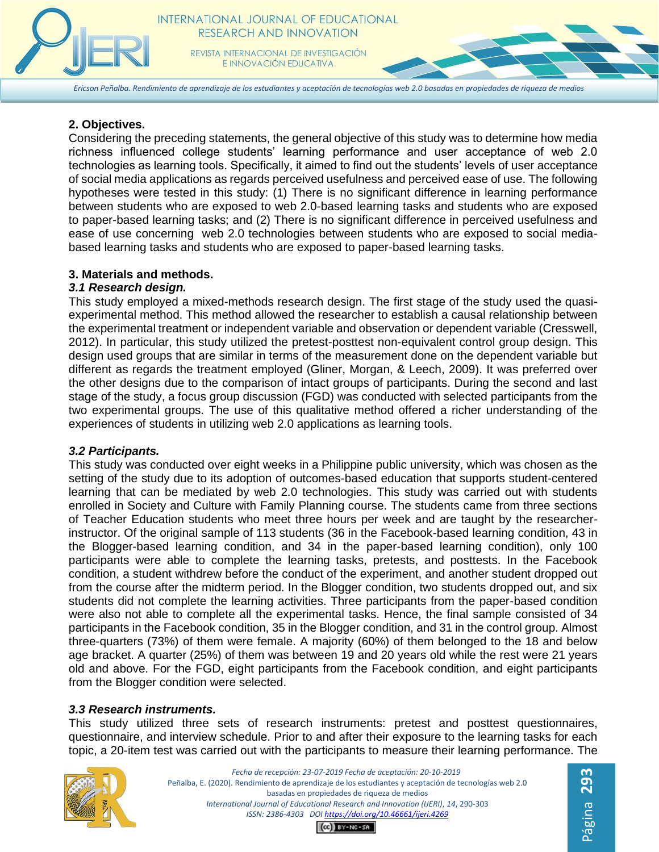

*Ericson Peñalba. Rendimiento de aprendizaje de los estudiantes y aceptación de tecnologías web 2.0 basadas en propiedades de riqueza de medios*

## **2. Objectives.**

Considering the preceding statements, the general objective of this study was to determine how media richness influenced college students' learning performance and user acceptance of web 2.0 technologies as learning tools. Specifically, it aimed to find out the students' levels of user acceptance of social media applications as regards perceived usefulness and perceived ease of use. The following hypotheses were tested in this study: (1) There is no significant difference in learning performance between students who are exposed to web 2.0-based learning tasks and students who are exposed to paper-based learning tasks; and (2) There is no significant difference in perceived usefulness and ease of use concerning web 2.0 technologies between students who are exposed to social mediabased learning tasks and students who are exposed to paper-based learning tasks.

## **3. Materials and methods.**

## *3.1 Research design.*

This study employed a mixed-methods research design. The first stage of the study used the quasiexperimental method. This method allowed the researcher to establish a causal relationship between the experimental treatment or independent variable and observation or dependent variable (Cresswell, 2012). In particular, this study utilized the pretest-posttest non-equivalent control group design. This design used groups that are similar in terms of the measurement done on the dependent variable but different as regards the treatment employed (Gliner, Morgan, & Leech, 2009). It was preferred over the other designs due to the comparison of intact groups of participants. During the second and last stage of the study, a focus group discussion (FGD) was conducted with selected participants from the two experimental groups. The use of this qualitative method offered a richer understanding of the experiences of students in utilizing web 2.0 applications as learning tools.

## *3.2 Participants.*

This study was conducted over eight weeks in a Philippine public university, which was chosen as the setting of the study due to its adoption of outcomes-based education that supports student-centered learning that can be mediated by web 2.0 technologies. This study was carried out with students enrolled in Society and Culture with Family Planning course. The students came from three sections of Teacher Education students who meet three hours per week and are taught by the researcherinstructor. Of the original sample of 113 students (36 in the Facebook-based learning condition, 43 in the Blogger-based learning condition, and 34 in the paper-based learning condition), only 100 participants were able to complete the learning tasks, pretests, and posttests. In the Facebook condition, a student withdrew before the conduct of the experiment, and another student dropped out from the course after the midterm period. In the Blogger condition, two students dropped out, and six students did not complete the learning activities. Three participants from the paper-based condition were also not able to complete all the experimental tasks. Hence, the final sample consisted of 34 participants in the Facebook condition, 35 in the Blogger condition, and 31 in the control group. Almost three-quarters (73%) of them were female. A majority (60%) of them belonged to the 18 and below age bracket. A quarter (25%) of them was between 19 and 20 years old while the rest were 21 years old and above. For the FGD, eight participants from the Facebook condition, and eight participants from the Blogger condition were selected.

## *3.3 Research instruments.*

This study utilized three sets of research instruments: pretest and posttest questionnaires, questionnaire, and interview schedule. Prior to and after their exposure to the learning tasks for each topic, a 20-item test was carried out with the participants to measure their learning performance. The



*Fecha de recepción: 23-07-2019 Fecha de aceptación: 20-10-2019* Peñalba, E. (2020). Rendimiento de aprendizaje de los estudiantes y aceptación de tecnologías web 2.0 basadas en propiedades de riqueza de medios *International Journal of Educational Research and Innovation (IJERI)*, *14*, 290-303 *ISSN: 2386-4303 DO[I https://doi.org/10.46661/ijeri.4269](https://doi.org/10.46661/ijeri.4269)*  $CO$  $EY-NC-SA$ 

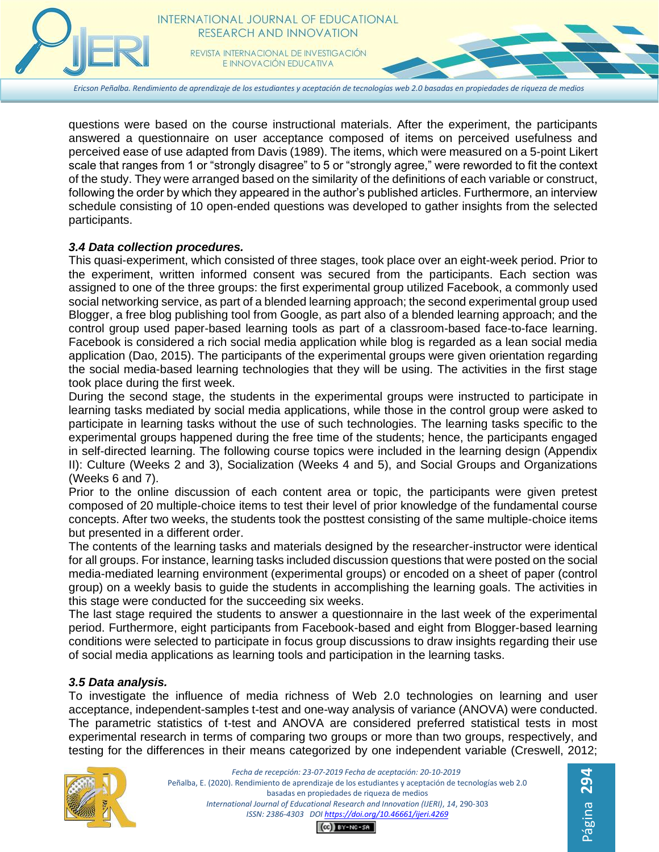

*Ericson Peñalba. Rendimiento de aprendizaje de los estudiantes y aceptación de tecnologías web 2.0 basadas en propiedades de riqueza de medios*

questions were based on the course instructional materials. After the experiment, the participants answered a questionnaire on user acceptance composed of items on perceived usefulness and perceived ease of use adapted from Davis (1989). The items, which were measured on a 5-point Likert scale that ranges from 1 or "strongly disagree" to 5 or "strongly agree," were reworded to fit the context of the study. They were arranged based on the similarity of the definitions of each variable or construct, following the order by which they appeared in the author's published articles. Furthermore, an interview schedule consisting of 10 open-ended questions was developed to gather insights from the selected participants.

#### *3.4 Data collection procedures.*

This quasi-experiment, which consisted of three stages, took place over an eight-week period. Prior to the experiment, written informed consent was secured from the participants. Each section was assigned to one of the three groups: the first experimental group utilized Facebook, a commonly used social networking service, as part of a blended learning approach; the second experimental group used Blogger, a free blog publishing tool from Google, as part also of a blended learning approach; and the control group used paper-based learning tools as part of a classroom-based face-to-face learning. Facebook is considered a rich social media application while blog is regarded as a lean social media application (Dao, 2015). The participants of the experimental groups were given orientation regarding the social media-based learning technologies that they will be using. The activities in the first stage took place during the first week.

During the second stage, the students in the experimental groups were instructed to participate in learning tasks mediated by social media applications, while those in the control group were asked to participate in learning tasks without the use of such technologies. The learning tasks specific to the experimental groups happened during the free time of the students; hence, the participants engaged in self-directed learning. The following course topics were included in the learning design (Appendix II): Culture (Weeks 2 and 3), Socialization (Weeks 4 and 5), and Social Groups and Organizations (Weeks 6 and 7).

Prior to the online discussion of each content area or topic, the participants were given pretest composed of 20 multiple-choice items to test their level of prior knowledge of the fundamental course concepts. After two weeks, the students took the posttest consisting of the same multiple-choice items but presented in a different order.

The contents of the learning tasks and materials designed by the researcher-instructor were identical for all groups. For instance, learning tasks included discussion questions that were posted on the social media-mediated learning environment (experimental groups) or encoded on a sheet of paper (control group) on a weekly basis to guide the students in accomplishing the learning goals. The activities in this stage were conducted for the succeeding six weeks.

The last stage required the students to answer a questionnaire in the last week of the experimental period. Furthermore, eight participants from Facebook-based and eight from Blogger-based learning conditions were selected to participate in focus group discussions to draw insights regarding their use of social media applications as learning tools and participation in the learning tasks.

## *3.5 Data analysis.*

To investigate the influence of media richness of Web 2.0 technologies on learning and user acceptance, independent-samples t-test and one-way analysis of variance (ANOVA) were conducted. The parametric statistics of t-test and ANOVA are considered preferred statistical tests in most experimental research in terms of comparing two groups or more than two groups, respectively, and testing for the differences in their means categorized by one independent variable (Creswell, 2012;



*Fecha de recepción: 23-07-2019 Fecha de aceptación: 20-10-2019* Peñalba, E. (2020). Rendimiento de aprendizaje de los estudiantes y aceptación de tecnologías web 2.0 basadas en propiedades de riqueza de medios *International Journal of Educational Research and Innovation (IJERI)*, *14*, 290-303 *ISSN: 2386-4303 DO[I https://doi.org/10.46661/ijeri.4269](https://doi.org/10.46661/ijeri.4269)*  $CO$  $EY-NC-SA$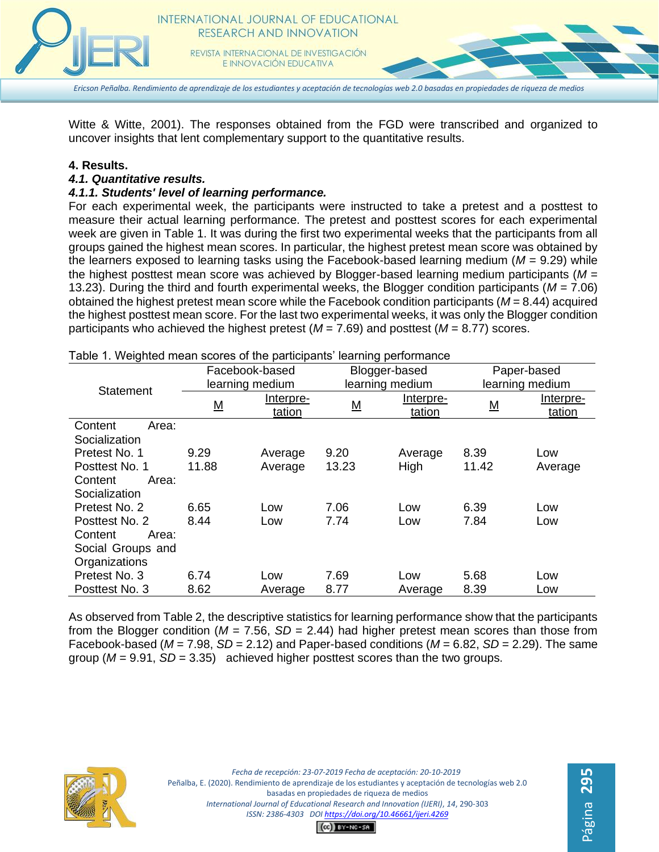

Witte & Witte, 2001). The responses obtained from the FGD were transcribed and organized to uncover insights that lent complementary support to the quantitative results.

#### **4. Results.**

#### *4.1. Quantitative results.*

#### *4.1.1. Students' level of learning performance.*

For each experimental week, the participants were instructed to take a pretest and a posttest to measure their actual learning performance. The pretest and posttest scores for each experimental week are given in Table 1. It was during the first two experimental weeks that the participants from all groups gained the highest mean scores. In particular, the highest pretest mean score was obtained by the learners exposed to learning tasks using the Facebook-based learning medium (*M* = 9.29) while the highest posttest mean score was achieved by Blogger-based learning medium participants (*M* = 13.23). During the third and fourth experimental weeks, the Blogger condition participants (*M* = 7.06) obtained the highest pretest mean score while the Facebook condition participants (*M* = 8.44) acquired the highest posttest mean score. For the last two experimental weeks, it was only the Blogger condition participants who achieved the highest pretest (*M* = 7.69) and posttest (*M* = 8.77) scores.

|                   | Facebook-based  |           | Blogger-based            |           | Paper-based     |           |
|-------------------|-----------------|-----------|--------------------------|-----------|-----------------|-----------|
| Statement         | learning medium |           | learning medium          |           | learning medium |           |
|                   | <u>M</u>        | Interpre- | $\underline{\mathsf{M}}$ | Interpre- | <u>M</u>        | Interpre- |
|                   |                 | tation    |                          | tation    |                 | tation    |
| Content<br>Area:  |                 |           |                          |           |                 |           |
| Socialization     |                 |           |                          |           |                 |           |
| Pretest No. 1     | 9.29            | Average   | 9.20                     | Average   | 8.39            | Low       |
| Posttest No. 1    | 11.88           | Average   | 13.23                    | High      | 11.42           | Average   |
| Content<br>Area:  |                 |           |                          |           |                 |           |
| Socialization     |                 |           |                          |           |                 |           |
| Pretest No. 2     | 6.65            | Low       | 7.06                     | Low       | 6.39            | Low       |
| Posttest No. 2    | 8.44            | Low       | 7.74                     | Low       | 7.84            | Low       |
| Content<br>Area:  |                 |           |                          |           |                 |           |
| Social Groups and |                 |           |                          |           |                 |           |
| Organizations     |                 |           |                          |           |                 |           |
| Pretest No. 3     | 6.74            | Low       | 7.69                     | Low       | 5.68            | Low       |
| Posttest No. 3    | 8.62            | Average   | 8.77                     | Average   | 8.39            | Low       |

Table 1. Weighted mean scores of the participants' learning performance

As observed from Table 2, the descriptive statistics for learning performance show that the participants from the Blogger condition ( $M = 7.56$ ,  $SD = 2.44$ ) had higher pretest mean scores than those from Facebook-based ( $M = 7.98$ ,  $SD = 2.12$ ) and Paper-based conditions ( $M = 6.82$ ,  $SD = 2.29$ ). The same group  $(M = 9.91, SD = 3.35)$  achieved higher posttest scores than the two groups.

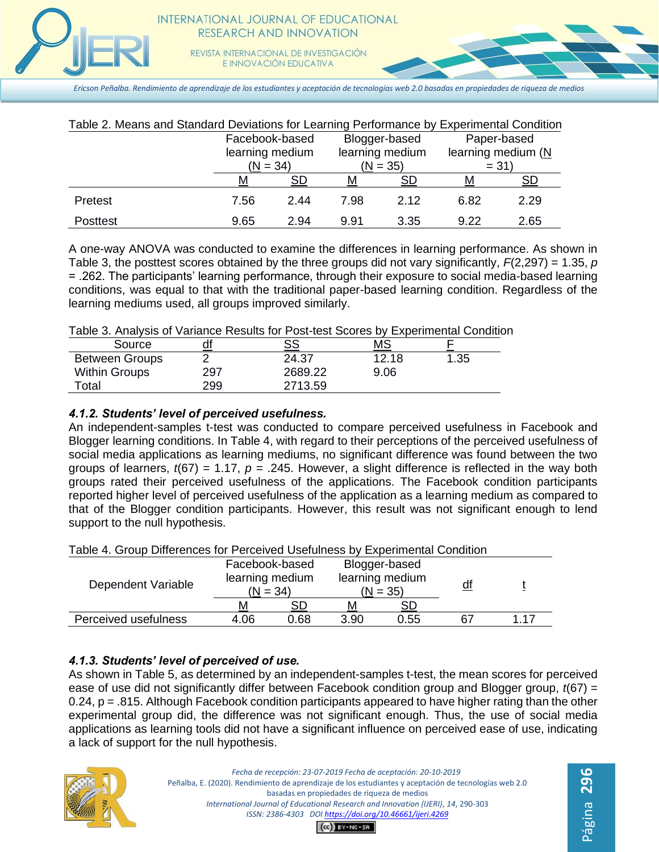

E INNOVACIÓN EDUCATIVA

*Ericson Peñalba. Rendimiento de aprendizaje de los estudiantes y aceptación de tecnologías web 2.0 basadas en propiedades de riqueza de medios*

| Table 2. Means and Standard Deviations for Learning Performance by Experimental Condition |                               |      |                               |           |                                 |      |
|-------------------------------------------------------------------------------------------|-------------------------------|------|-------------------------------|-----------|---------------------------------|------|
|                                                                                           | Facebook-based                |      | Blogger-based                 |           | Paper-based                     |      |
|                                                                                           | learning medium<br>$(N = 34)$ |      | learning medium<br>$(N = 35)$ |           | learning medium $(N)$<br>$= 31$ |      |
|                                                                                           | М                             | SD   | М                             | <b>SD</b> | М                               | SD   |
| Pretest                                                                                   | 7.56                          | 2.44 | 7.98                          | 2.12      | 6.82                            | 2.29 |
| Posttest                                                                                  | 9.65                          | 2.94 | 9.91                          | 3.35      | 9.22                            | 2.65 |

A one-way ANOVA was conducted to examine the differences in learning performance. As shown in Table 3, the posttest scores obtained by the three groups did not vary significantly, *F*(2,297) = 1.35, *p* = .262. The participants' learning performance, through their exposure to social media-based learning conditions, was equal to that with the traditional paper-based learning condition. Regardless of the learning mediums used, all groups improved similarly.

Table 3. Analysis of Variance Results for Post-test Scores by Experimental Condition

| Source                | df  | SS      | МS    |      |  |
|-----------------------|-----|---------|-------|------|--|
| <b>Between Groups</b> |     | 24.37   | 12.18 | 1.35 |  |
| <b>Within Groups</b>  | 297 | 2689.22 | 9.06  |      |  |
| Total                 | 299 | 2713.59 |       |      |  |

# *4.1.2. Students' level of perceived usefulness.*

An independent-samples t-test was conducted to compare perceived usefulness in Facebook and Blogger learning conditions. In Table 4, with regard to their perceptions of the perceived usefulness of social media applications as learning mediums, no significant difference was found between the two groups of learners,  $t(67) = 1.17$ ,  $p = .245$ . However, a slight difference is reflected in the way both groups rated their perceived usefulness of the applications. The Facebook condition participants reported higher level of perceived usefulness of the application as a learning medium as compared to that of the Blogger condition participants. However, this result was not significant enough to lend support to the null hypothesis.

| Table 4. Group Differences for Perceived Usefulness by Experimental Condition |                               |      |                               |           |           |      |
|-------------------------------------------------------------------------------|-------------------------------|------|-------------------------------|-----------|-----------|------|
|                                                                               | Facebook-based                |      | Blogger-based                 |           |           |      |
| Dependent Variable                                                            | learning medium<br>$(N = 34)$ |      | learning medium<br>$(N = 35)$ |           | <u>df</u> |      |
|                                                                               | м                             | SD   | м                             | <b>SD</b> |           |      |
| Perceived usefulness                                                          | 4.06                          | 0.68 | 3.90                          | 0.55      | 67        | 1 17 |

Table 4. Group Differences for Perceived Usefulness by Experimental Condition

# *4.1.3. Students' level of perceived of use.*

As shown in Table 5, as determined by an independent-samples t-test, the mean scores for perceived ease of use did not significantly differ between Facebook condition group and Blogger group, *t*(67) = 0.24,  $p = .815$ . Although Facebook condition participants appeared to have higher rating than the other experimental group did, the difference was not significant enough. Thus, the use of social media applications as learning tools did not have a significant influence on perceived ease of use, indicating a lack of support for the null hypothesis.



*Fecha de recepción: 23-07-2019 Fecha de aceptación: 20-10-2019* Peñalba, E. (2020). Rendimiento de aprendizaje de los estudiantes y aceptación de tecnologías web 2.0 basadas en propiedades de riqueza de medios *International Journal of Educational Research and Innovation (IJERI)*, *14*, 290-303 *ISSN: 2386-4303 DO[I https://doi.org/10.46661/ijeri.4269](https://doi.org/10.46661/ijeri.4269)*

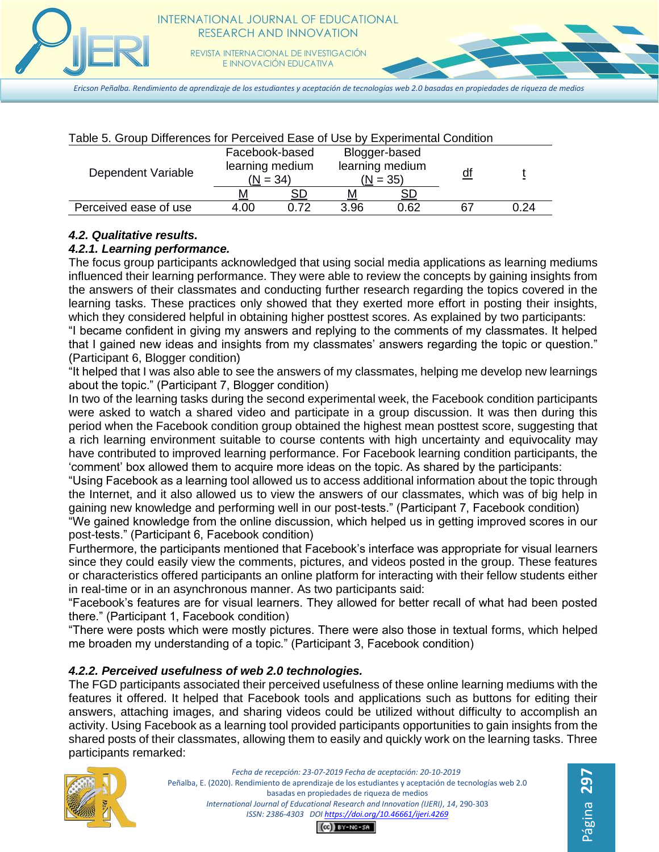

*Ericson Peñalba. Rendimiento de aprendizaje de los estudiantes y aceptación de tecnologías web 2.0 basadas en propiedades de riqueza de medios*

| Table 5. Group Differences for Perceived Ease of Use by Experimental Condition |                                                 |      |                                                |           |           |      |
|--------------------------------------------------------------------------------|-------------------------------------------------|------|------------------------------------------------|-----------|-----------|------|
| Dependent Variable                                                             | Facebook-based<br>learning medium<br>$(N = 34)$ |      | Blogger-based<br>learning medium<br>$(N = 35)$ |           | <u>df</u> |      |
|                                                                                | м                                               |      |                                                | <b>SD</b> |           |      |
| Perceived ease of use                                                          | 4.00                                            | 0.72 | 3.96                                           | 0.62      |           | 0.24 |

#### *4.2. Qualitative results.*

#### *4.2.1. Learning performance.*

The focus group participants acknowledged that using social media applications as learning mediums influenced their learning performance. They were able to review the concepts by gaining insights from the answers of their classmates and conducting further research regarding the topics covered in the learning tasks. These practices only showed that they exerted more effort in posting their insights, which they considered helpful in obtaining higher posttest scores. As explained by two participants:

"I became confident in giving my answers and replying to the comments of my classmates. It helped that I gained new ideas and insights from my classmates' answers regarding the topic or question." (Participant 6, Blogger condition)

"It helped that I was also able to see the answers of my classmates, helping me develop new learnings about the topic." (Participant 7, Blogger condition)

In two of the learning tasks during the second experimental week, the Facebook condition participants were asked to watch a shared video and participate in a group discussion. It was then during this period when the Facebook condition group obtained the highest mean posttest score, suggesting that a rich learning environment suitable to course contents with high uncertainty and equivocality may have contributed to improved learning performance. For Facebook learning condition participants, the 'comment' box allowed them to acquire more ideas on the topic. As shared by the participants:

"Using Facebook as a learning tool allowed us to access additional information about the topic through the Internet, and it also allowed us to view the answers of our classmates, which was of big help in gaining new knowledge and performing well in our post-tests." (Participant 7, Facebook condition)

"We gained knowledge from the online discussion, which helped us in getting improved scores in our post-tests." (Participant 6, Facebook condition)

Furthermore, the participants mentioned that Facebook's interface was appropriate for visual learners since they could easily view the comments, pictures, and videos posted in the group. These features or characteristics offered participants an online platform for interacting with their fellow students either in real-time or in an asynchronous manner. As two participants said:

"Facebook's features are for visual learners. They allowed for better recall of what had been posted there." (Participant 1, Facebook condition)

"There were posts which were mostly pictures. There were also those in textual forms, which helped me broaden my understanding of a topic." (Participant 3, Facebook condition)

## *4.2.2. Perceived usefulness of web 2.0 technologies.*

The FGD participants associated their perceived usefulness of these online learning mediums with the features it offered. It helped that Facebook tools and applications such as buttons for editing their answers, attaching images, and sharing videos could be utilized without difficulty to accomplish an activity. Using Facebook as a learning tool provided participants opportunities to gain insights from the shared posts of their classmates, allowing them to easily and quickly work on the learning tasks. Three participants remarked:



*Fecha de recepción: 23-07-2019 Fecha de aceptación: 20-10-2019* Peñalba, E. (2020). Rendimiento de aprendizaje de los estudiantes y aceptación de tecnologías web 2.0 basadas en propiedades de riqueza de medios *International Journal of Educational Research and Innovation (IJERI)*, *14*, 290-303 *ISSN: 2386-4303 DO[I https://doi.org/10.46661/ijeri.4269](https://doi.org/10.46661/ijeri.4269)*  $CO$  $EY-NC-SA$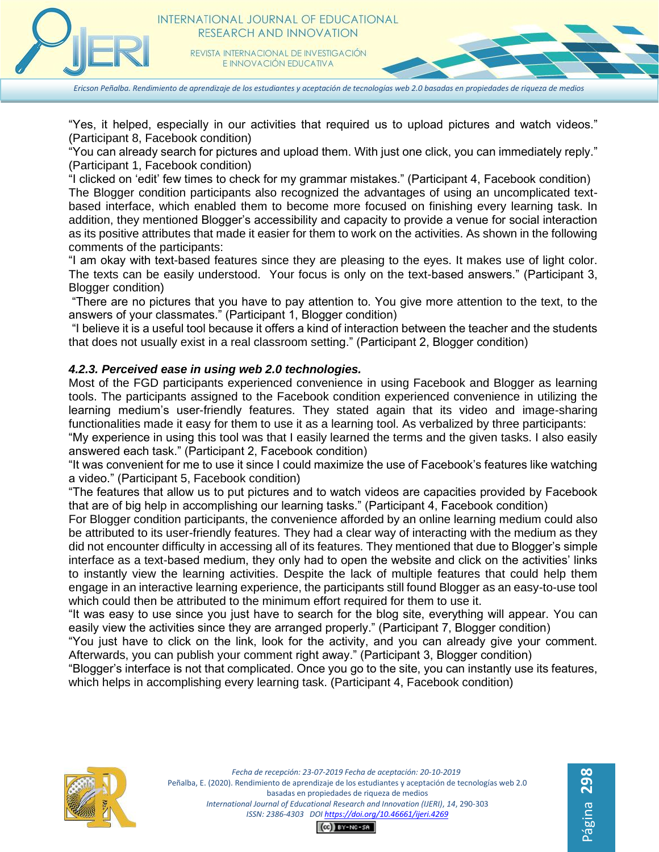

*Ericson Peñalba. Rendimiento de aprendizaje de los estudiantes y aceptación de tecnologías web 2.0 basadas en propiedades de riqueza de medios*

"Yes, it helped, especially in our activities that required us to upload pictures and watch videos." (Participant 8, Facebook condition)

"You can already search for pictures and upload them. With just one click, you can immediately reply." (Participant 1, Facebook condition)

"I clicked on 'edit' few times to check for my grammar mistakes." (Participant 4, Facebook condition) The Blogger condition participants also recognized the advantages of using an uncomplicated textbased interface, which enabled them to become more focused on finishing every learning task. In addition, they mentioned Blogger's accessibility and capacity to provide a venue for social interaction as its positive attributes that made it easier for them to work on the activities. As shown in the following comments of the participants:

"I am okay with text-based features since they are pleasing to the eyes. It makes use of light color. The texts can be easily understood. Your focus is only on the text-based answers." (Participant 3, Blogger condition)

"There are no pictures that you have to pay attention to. You give more attention to the text, to the answers of your classmates." (Participant 1, Blogger condition)

"I believe it is a useful tool because it offers a kind of interaction between the teacher and the students that does not usually exist in a real classroom setting." (Participant 2, Blogger condition)

## *4.2.3. Perceived ease in using web 2.0 technologies.*

Most of the FGD participants experienced convenience in using Facebook and Blogger as learning tools. The participants assigned to the Facebook condition experienced convenience in utilizing the learning medium's user-friendly features. They stated again that its video and image-sharing functionalities made it easy for them to use it as a learning tool. As verbalized by three participants:

"My experience in using this tool was that I easily learned the terms and the given tasks. I also easily answered each task." (Participant 2, Facebook condition)

"It was convenient for me to use it since I could maximize the use of Facebook's features like watching a video." (Participant 5, Facebook condition)

"The features that allow us to put pictures and to watch videos are capacities provided by Facebook that are of big help in accomplishing our learning tasks." (Participant 4, Facebook condition)

For Blogger condition participants, the convenience afforded by an online learning medium could also be attributed to its user-friendly features. They had a clear way of interacting with the medium as they did not encounter difficulty in accessing all of its features. They mentioned that due to Blogger's simple interface as a text-based medium, they only had to open the website and click on the activities' links to instantly view the learning activities. Despite the lack of multiple features that could help them engage in an interactive learning experience, the participants still found Blogger as an easy-to-use tool which could then be attributed to the minimum effort required for them to use it.

"It was easy to use since you just have to search for the blog site, everything will appear. You can easily view the activities since they are arranged properly." (Participant 7, Blogger condition)

"You just have to click on the link, look for the activity, and you can already give your comment. Afterwards, you can publish your comment right away." (Participant 3, Blogger condition)

"Blogger's interface is not that complicated. Once you go to the site, you can instantly use its features, which helps in accomplishing every learning task. (Participant 4, Facebook condition)



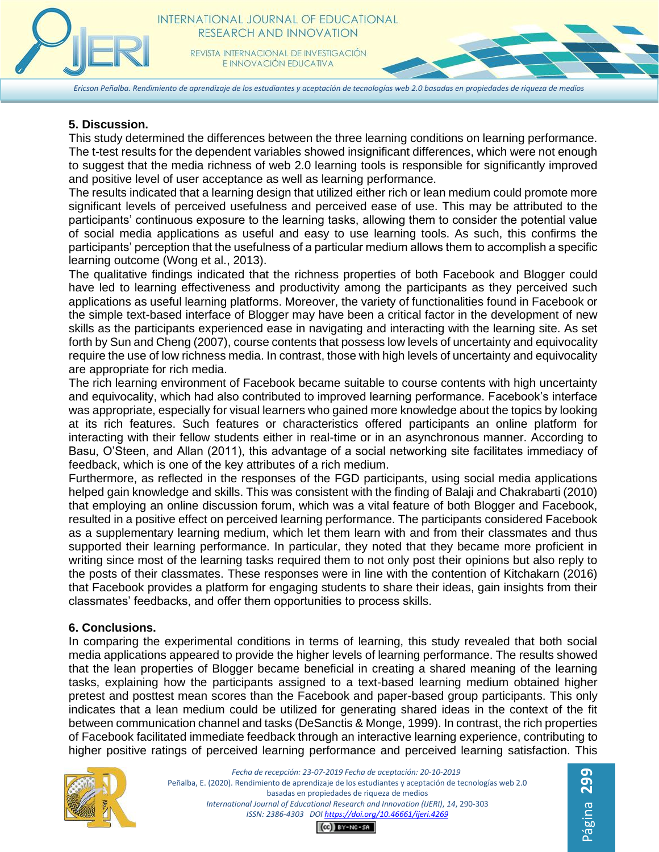*Ericson Peñalba. Rendimiento de aprendizaje de los estudiantes y aceptación de tecnologías web 2.0 basadas en propiedades de riqueza de medios*

#### **5. Discussion.**

This study determined the differences between the three learning conditions on learning performance. The t-test results for the dependent variables showed insignificant differences, which were not enough to suggest that the media richness of web 2.0 learning tools is responsible for significantly improved and positive level of user acceptance as well as learning performance.

The results indicated that a learning design that utilized either rich or lean medium could promote more significant levels of perceived usefulness and perceived ease of use. This may be attributed to the participants' continuous exposure to the learning tasks, allowing them to consider the potential value of social media applications as useful and easy to use learning tools. As such, this confirms the participants' perception that the usefulness of a particular medium allows them to accomplish a specific learning outcome (Wong et al., 2013).

The qualitative findings indicated that the richness properties of both Facebook and Blogger could have led to learning effectiveness and productivity among the participants as they perceived such applications as useful learning platforms. Moreover, the variety of functionalities found in Facebook or the simple text-based interface of Blogger may have been a critical factor in the development of new skills as the participants experienced ease in navigating and interacting with the learning site. As set forth by Sun and Cheng (2007), course contents that possess low levels of uncertainty and equivocality require the use of low richness media. In contrast, those with high levels of uncertainty and equivocality are appropriate for rich media.

The rich learning environment of Facebook became suitable to course contents with high uncertainty and equivocality, which had also contributed to improved learning performance. Facebook's interface was appropriate, especially for visual learners who gained more knowledge about the topics by looking at its rich features. Such features or characteristics offered participants an online platform for interacting with their fellow students either in real-time or in an asynchronous manner. According to Basu, O'Steen, and Allan (2011), this advantage of a social networking site facilitates immediacy of feedback, which is one of the key attributes of a rich medium.

Furthermore, as reflected in the responses of the FGD participants, using social media applications helped gain knowledge and skills. This was consistent with the finding of Balaji and Chakrabarti (2010) that employing an online discussion forum, which was a vital feature of both Blogger and Facebook, resulted in a positive effect on perceived learning performance. The participants considered Facebook as a supplementary learning medium, which let them learn with and from their classmates and thus supported their learning performance. In particular, they noted that they became more proficient in writing since most of the learning tasks required them to not only post their opinions but also reply to the posts of their classmates. These responses were in line with the contention of Kitchakarn (2016) that Facebook provides a platform for engaging students to share their ideas, gain insights from their classmates' feedbacks, and offer them opportunities to process skills.

#### **6. Conclusions.**

In comparing the experimental conditions in terms of learning, this study revealed that both social media applications appeared to provide the higher levels of learning performance. The results showed that the lean properties of Blogger became beneficial in creating a shared meaning of the learning tasks, explaining how the participants assigned to a text-based learning medium obtained higher pretest and posttest mean scores than the Facebook and paper-based group participants. This only indicates that a lean medium could be utilized for generating shared ideas in the context of the fit between communication channel and tasks (DeSanctis & Monge, 1999). In contrast, the rich properties of Facebook facilitated immediate feedback through an interactive learning experience, contributing to higher positive ratings of perceived learning performance and perceived learning satisfaction. This



*Fecha de recepción: 23-07-2019 Fecha de aceptación: 20-10-2019* Peñalba, E. (2020). Rendimiento de aprendizaje de los estudiantes y aceptación de tecnologías web 2.0 basadas en propiedades de riqueza de medios *International Journal of Educational Research and Innovation (IJERI)*, *14*, 290-303 *ISSN: 2386-4303 DO[I https://doi.org/10.46661/ijeri.4269](https://doi.org/10.46661/ijeri.4269)*

Página 29

 $CO$  $EY-NC-SA$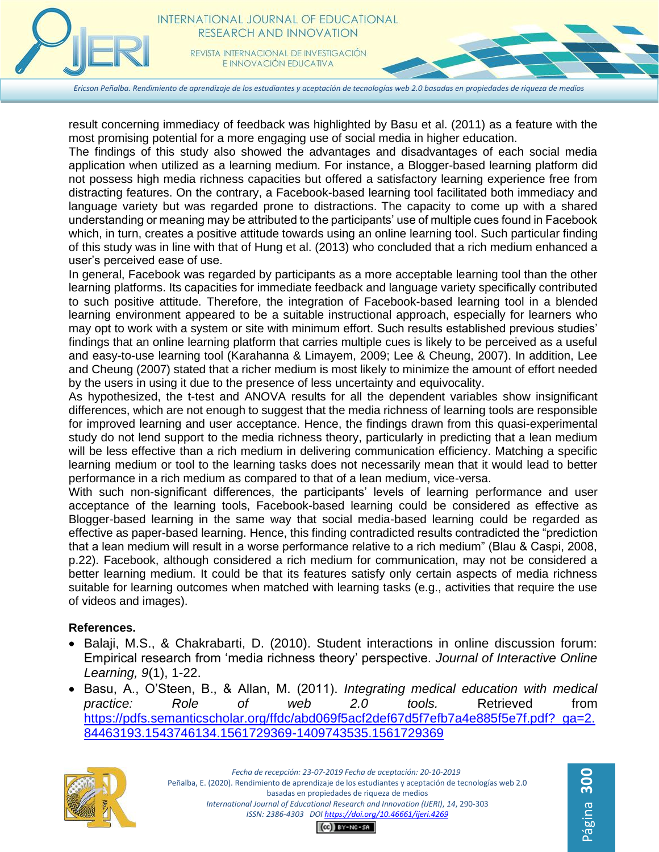*Ericson Peñalba. Rendimiento de aprendizaje de los estudiantes y aceptación de tecnologías web 2.0 basadas en propiedades de riqueza de medios*

result concerning immediacy of feedback was highlighted by Basu et al. (2011) as a feature with the most promising potential for a more engaging use of social media in higher education.

The findings of this study also showed the advantages and disadvantages of each social media application when utilized as a learning medium. For instance, a Blogger-based learning platform did not possess high media richness capacities but offered a satisfactory learning experience free from distracting features. On the contrary, a Facebook-based learning tool facilitated both immediacy and language variety but was regarded prone to distractions. The capacity to come up with a shared understanding or meaning may be attributed to the participants' use of multiple cues found in Facebook which, in turn, creates a positive attitude towards using an online learning tool. Such particular finding of this study was in line with that of Hung et al. (2013) who concluded that a rich medium enhanced a user's perceived ease of use.

In general, Facebook was regarded by participants as a more acceptable learning tool than the other learning platforms. Its capacities for immediate feedback and language variety specifically contributed to such positive attitude. Therefore, the integration of Facebook-based learning tool in a blended learning environment appeared to be a suitable instructional approach, especially for learners who may opt to work with a system or site with minimum effort. Such results established previous studies' findings that an online learning platform that carries multiple cues is likely to be perceived as a useful and easy-to-use learning tool (Karahanna & Limayem, 2009; Lee & Cheung, 2007). In addition, Lee and Cheung (2007) stated that a richer medium is most likely to minimize the amount of effort needed by the users in using it due to the presence of less uncertainty and equivocality.

As hypothesized, the t-test and ANOVA results for all the dependent variables show insignificant differences, which are not enough to suggest that the media richness of learning tools are responsible for improved learning and user acceptance. Hence, the findings drawn from this quasi-experimental study do not lend support to the media richness theory, particularly in predicting that a lean medium will be less effective than a rich medium in delivering communication efficiency. Matching a specific learning medium or tool to the learning tasks does not necessarily mean that it would lead to better performance in a rich medium as compared to that of a lean medium, vice-versa.

With such non-significant differences, the participants' levels of learning performance and user acceptance of the learning tools, Facebook-based learning could be considered as effective as Blogger-based learning in the same way that social media-based learning could be regarded as effective as paper-based learning. Hence, this finding contradicted results contradicted the "prediction that a lean medium will result in a worse performance relative to a rich medium" (Blau & Caspi, 2008, p.22). Facebook, although considered a rich medium for communication, may not be considered a better learning medium. It could be that its features satisfy only certain aspects of media richness suitable for learning outcomes when matched with learning tasks (e.g., activities that require the use of videos and images).

## **References.**

- Balaji, M.S., & Chakrabarti, D. (2010). Student interactions in online discussion forum: Empirical research from 'media richness theory' perspective. *Journal of Interactive Online Learning, 9*(1), 1-22.
- Basu, A., O'Steen, B., & Allan, M. (2011). *Integrating medical education with medical practice: Role of web 2.0 tools.* Retrieved from [https://pdfs.semanticscholar.org/ffdc/abd069f5acf2def67d5f7efb7a4e885f5e7f.pdf?\\_ga=2.](https://pdfs.semanticscholar.org/ffdc/abd069f5acf2def67d5f7efb7a4e885f5e7f.pdf?_ga=2.84463193.1543746134.1561729369-1409743535.1561729369) [84463193.1543746134.1561729369-1409743535.1561729369](https://pdfs.semanticscholar.org/ffdc/abd069f5acf2def67d5f7efb7a4e885f5e7f.pdf?_ga=2.84463193.1543746134.1561729369-1409743535.1561729369)



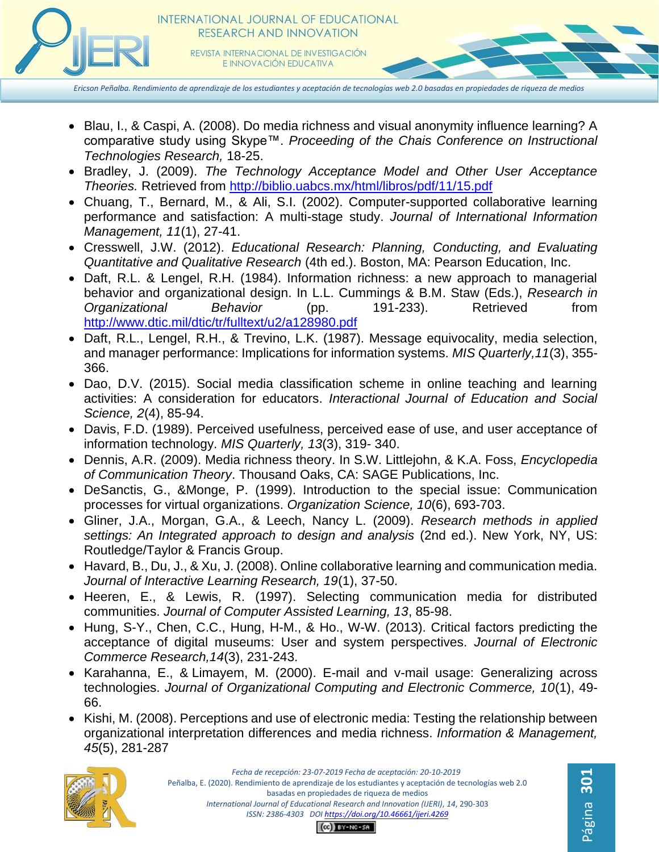

*Ericson Peñalba. Rendimiento de aprendizaje de los estudiantes y aceptación de tecnologías web 2.0 basadas en propiedades de riqueza de medios*

- Blau, I., & Caspi, A. (2008). Do media richness and visual anonymity influence learning? A comparative study using Skype™. *Proceeding of the Chais Conference on Instructional Technologies Research,* 18-25.
- Bradley, J. (2009). *The Technology Acceptance Model and Other User Acceptance Theories.* Retrieved from<http://biblio.uabcs.mx/html/libros/pdf/11/15.pdf>
- Chuang, T., Bernard, M., & Ali, S.I. (2002). Computer-supported collaborative learning performance and satisfaction: A multi-stage study. *Journal of International Information Management, 11*(1), 27-41.
- Cresswell, J.W. (2012). *Educational Research: Planning, Conducting, and Evaluating Quantitative and Qualitative Research* (4th ed.). Boston, MA: Pearson Education, Inc.
- Daft, R.L. & Lengel, R.H. (1984). Information richness: a new approach to managerial behavior and organizational design. In L.L. Cummings & B.M. Staw (Eds.), *Research in Organizational Behavior* (pp. 191-233). Retrieved from <http://www.dtic.mil/dtic/tr/fulltext/u2/a128980.pdf>
- Daft, R.L., Lengel, R.H., & Trevino, L.K. (1987). Message equivocality, media selection, and manager performance: Implications for information systems. *MIS Quarterly,11*(3), 355- 366.
- Dao, D.V. (2015). Social media classification scheme in online teaching and learning activities: A consideration for educators. *Interactional Journal of Education and Social Science, 2*(4), 85-94.
- Davis, F.D. (1989). Perceived usefulness, perceived ease of use, and user acceptance of information technology. *MIS Quarterly, 13*(3), 319- 340.
- Dennis, A.R. (2009). Media richness theory. In S.W. Littlejohn, & K.A. Foss, *Encyclopedia of Communication Theory*. Thousand Oaks, CA: SAGE Publications, Inc.
- DeSanctis, G., &Monge, P. (1999). Introduction to the special issue: Communication processes for virtual organizations. *Organization Science, 10*(6), 693-703.
- Gliner, J.A., Morgan, G.A., & Leech, Nancy L. (2009). *Research methods in applied settings: An Integrated approach to design and analysis* (2nd ed.). New York, NY, US: Routledge/Taylor & Francis Group.
- Havard, B., Du, J., & Xu, J. (2008). Online collaborative learning and communication media. *Journal of Interactive Learning Research, 19*(1), 37-50.
- Heeren, E., & Lewis, R. (1997). Selecting communication media for distributed communities. *Journal of Computer Assisted Learning, 13*, 85-98.
- Hung, S-Y., Chen, C.C., Hung, H-M., & Ho., W-W. (2013). Critical factors predicting the acceptance of digital museums: User and system perspectives. *Journal of Electronic Commerce Research,14*(3), 231-243.
- Karahanna, E., & Limayem, M. (2000). E-mail and v-mail usage: Generalizing across technologies. *Journal of Organizational Computing and Electronic Commerce, 10*(1), 49- 66.
- Kishi, M. (2008). Perceptions and use of electronic media: Testing the relationship between organizational interpretation differences and media richness. *Information & Management, 45*(5), 281-287

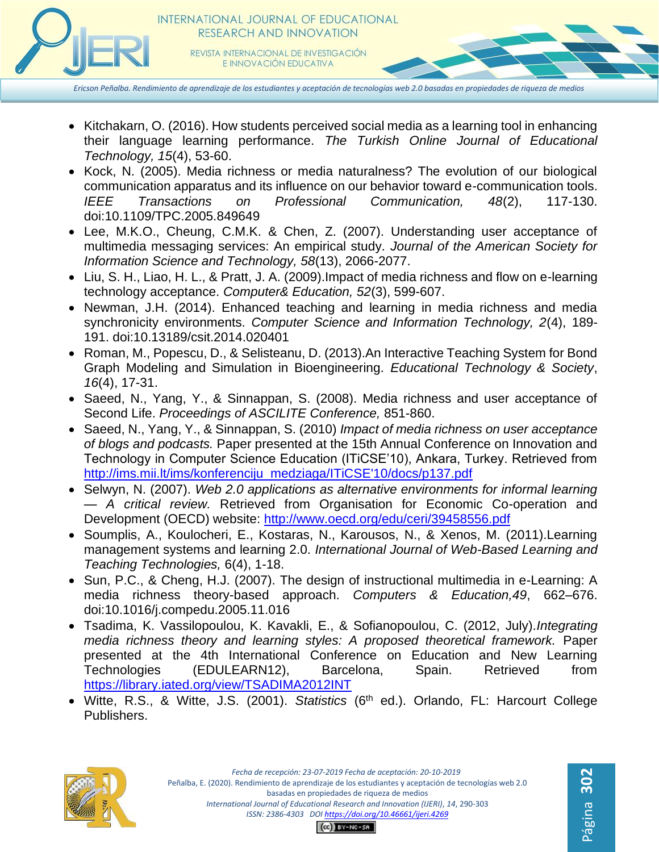

*Ericson Peñalba. Rendimiento de aprendizaje de los estudiantes y aceptación de tecnologías web 2.0 basadas en propiedades de riqueza de medios*

- Kitchakarn, O. (2016). How students perceived social media as a learning tool in enhancing their language learning performance. *The Turkish Online Journal of Educational Technology, 15*(4), 53-60.
- Kock, N. (2005). Media richness or media naturalness? The evolution of our biological communication apparatus and its influence on our behavior toward e-communication tools. *IEEE Transactions on Professional Communication, 48*(2), 117-130. doi:10.1109/TPC.2005.849649
- Lee, M.K.O., Cheung, C.M.K. & Chen, Z. (2007). Understanding user acceptance of multimedia messaging services: An empirical study*. Journal of the American Society for Information Science and Technology, 58*(13), 2066-2077.
- Liu, S. H., Liao, H. L., & Pratt, J. A. (2009).Impact of media richness and flow on e-learning technology acceptance. *Computer& Education, 52*(3), 599-607.
- Newman, J.H. (2014). Enhanced teaching and learning in media richness and media synchronicity environments. *Computer Science and Information Technology, 2*(4), 189- 191. doi:10.13189/csit.2014.020401
- Roman, M., Popescu, D., & Selisteanu, D. (2013).An Interactive Teaching System for Bond Graph Modeling and Simulation in Bioengineering. *Educational Technology & Society*, *16*(4), 17-31.
- Saeed, N., Yang, Y., & Sinnappan, S. (2008). Media richness and user acceptance of Second Life. *Proceedings of ASCILITE Conference,* 851-860.
- Saeed, N., Yang, Y., & Sinnappan, S. (2010) *Impact of media richness on user acceptance of blogs and podcasts.* Paper presented at the 15th Annual Conference on Innovation and Technology in Computer Science Education (ITiCSE'10), Ankara, Turkey. Retrieved from [http://ims.mii.lt/ims/konferenciju\\_medziaga/ITiCSE'10/docs/p137.pdf](http://ims.mii.lt/ims/konferenciju_medziaga/ITiCSE)
- Selwyn, N. (2007). *Web 2.0 applications as alternative environments for informal learning — A critical review.* Retrieved from Organisation for Economic Co-operation and Development (OECD) website:<http://www.oecd.org/edu/ceri/39458556.pdf>
- Soumplis, A., Koulocheri, E., Kostaras, N., Karousos, N., & Xenos, M. (2011).Learning management systems and learning 2.0. *International Journal of Web-Based Learning and Teaching Technologies,* 6(4), 1-18.
- Sun, P.C., & Cheng, H.J. (2007). The design of instructional multimedia in e-Learning: A media richness theory-based approach. *Computers & Education,49*, 662–676. doi:10.1016/j.compedu.2005.11.016
- Tsadima, K. Vassilopoulou, K. Kavakli, E., & Sofianopoulou, C. (2012, July).*Integrating media richness theory and learning styles: A proposed theoretical framework.* Paper presented at the 4th International Conference on Education and New Learning Technologies (EDULEARN12), Barcelona, Spain. Retrieved from <https://library.iated.org/view/TSADIMA2012INT>
- Witte, R.S., & Witte, J.S. (2001). *Statistics* (6<sup>th</sup> ed.). Orlando, FL: Harcourt College Publishers.